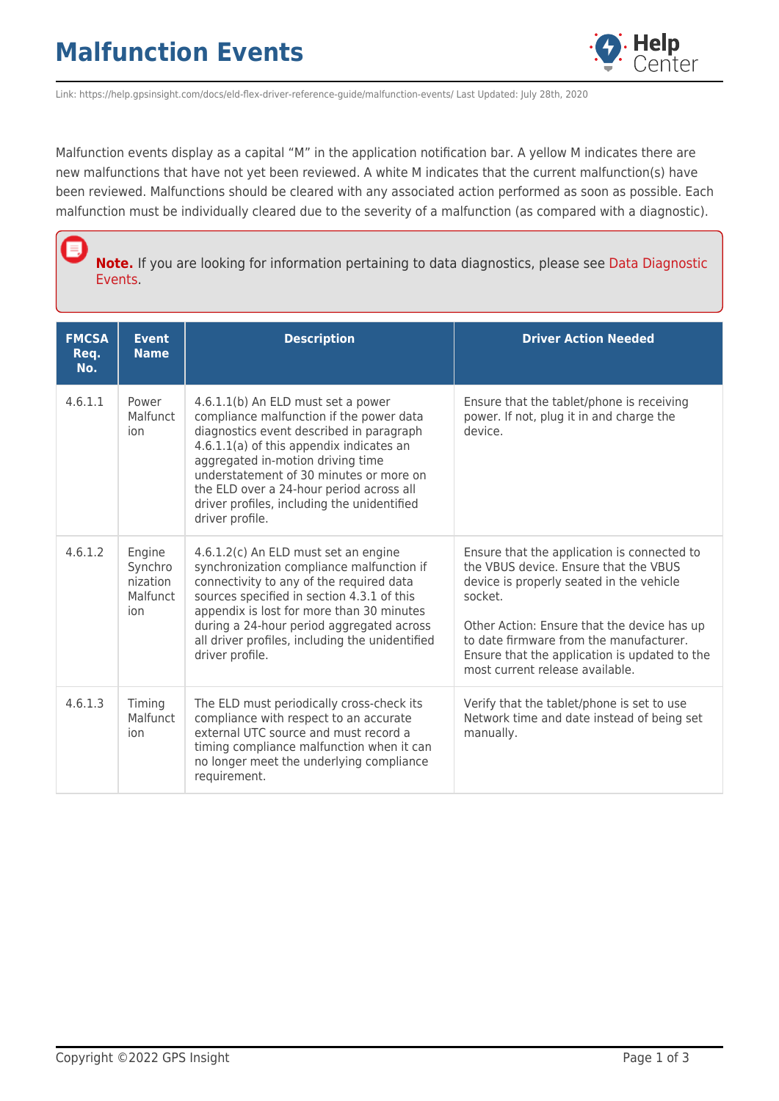

Link: https://help.gpsinsight.com/docs/eld-flex-driver-reference-guide/malfunction-events/ Last Updated: July 28th, 2020

Malfunction events display as a capital "M" in the application notification bar. A yellow M indicates there are new malfunctions that have not yet been reviewed. A white M indicates that the current malfunction(s) have been reviewed. Malfunctions should be cleared with any associated action performed as soon as possible. Each malfunction must be individually cleared due to the severity of a malfunction (as compared with a diagnostic).

**Note.** If you are looking for information pertaining to data diagnostics, please see [Data Diagnostic](https://help.gpsinsight.com/docs/eld-flex-driver-reference-guide/data-diagnostic-events/) [Events](https://help.gpsinsight.com/docs/eld-flex-driver-reference-guide/data-diagnostic-events/).

| <b>FMCSA</b><br>Req.<br>No. | <b>Event</b><br><b>Name</b>                      | <b>Description</b>                                                                                                                                                                                                                                                                                                                                                   | <b>Driver Action Needed</b>                                                                                                                                                                                                                                                                                               |
|-----------------------------|--------------------------------------------------|----------------------------------------------------------------------------------------------------------------------------------------------------------------------------------------------------------------------------------------------------------------------------------------------------------------------------------------------------------------------|---------------------------------------------------------------------------------------------------------------------------------------------------------------------------------------------------------------------------------------------------------------------------------------------------------------------------|
| 4.6.1.1                     | Power<br>Malfunct<br>ion                         | 4.6.1.1(b) An ELD must set a power<br>compliance malfunction if the power data<br>diagnostics event described in paragraph<br>4.6.1.1(a) of this appendix indicates an<br>aggregated in-motion driving time<br>understatement of 30 minutes or more on<br>the ELD over a 24-hour period across all<br>driver profiles, including the unidentified<br>driver profile. | Ensure that the tablet/phone is receiving<br>power. If not, plug it in and charge the<br>device.                                                                                                                                                                                                                          |
| 4.6.1.2                     | Engine<br>Synchro<br>nization<br>Malfunct<br>ion | 4.6.1.2(c) An ELD must set an engine<br>synchronization compliance malfunction if<br>connectivity to any of the required data<br>sources specified in section 4.3.1 of this<br>appendix is lost for more than 30 minutes<br>during a 24-hour period aggregated across<br>all driver profiles, including the unidentified<br>driver profile.                          | Ensure that the application is connected to<br>the VBUS device. Ensure that the VBUS<br>device is properly seated in the vehicle<br>socket.<br>Other Action: Ensure that the device has up<br>to date firmware from the manufacturer.<br>Ensure that the application is updated to the<br>most current release available. |
| 4.6.1.3                     | Timing<br>Malfunct<br>ion                        | The ELD must periodically cross-check its<br>compliance with respect to an accurate<br>external UTC source and must record a<br>timing compliance malfunction when it can<br>no longer meet the underlying compliance<br>requirement.                                                                                                                                | Verify that the tablet/phone is set to use<br>Network time and date instead of being set<br>manually.                                                                                                                                                                                                                     |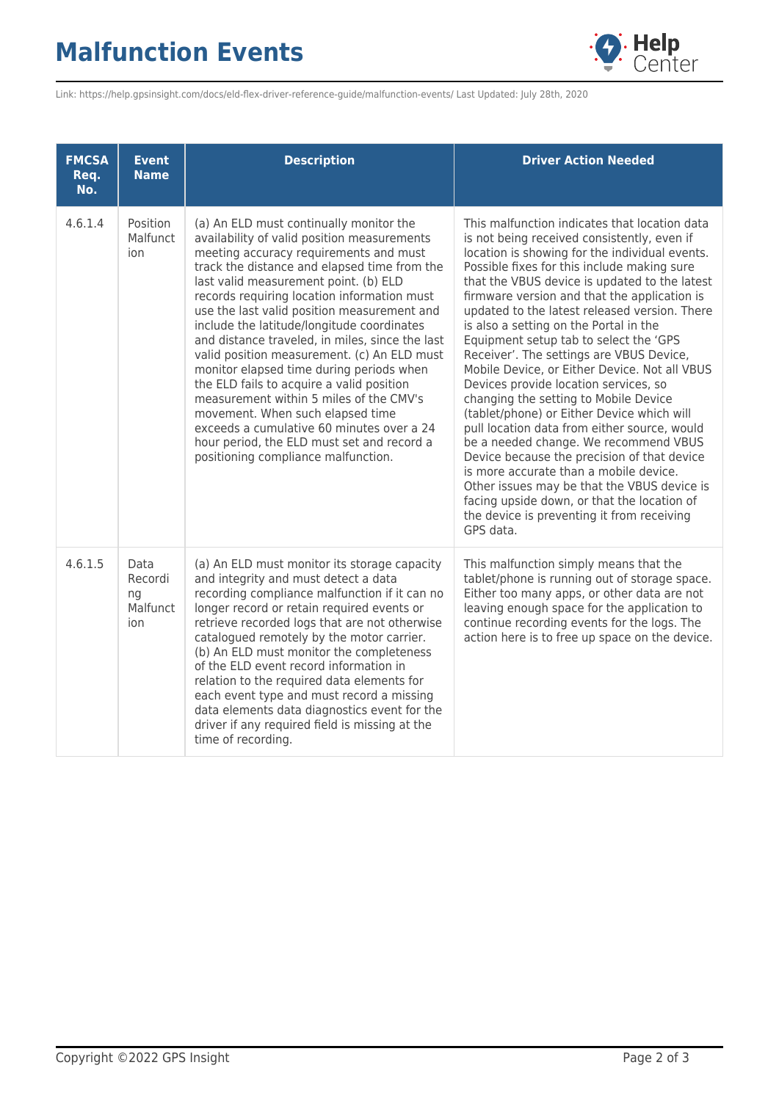## **Malfunction Events**



Link: https://help.gpsinsight.com/docs/eld-flex-driver-reference-guide/malfunction-events/ Last Updated: July 28th, 2020

| <b>FMCSA</b><br>Req.<br>No. | <b>Event</b><br><b>Name</b>              | <b>Description</b>                                                                                                                                                                                                                                                                                                                                                                                                                                                                                                                                                                                                                                                                                                                                                                | <b>Driver Action Needed</b>                                                                                                                                                                                                                                                                                                                                                                                                                                                                                                                                                                                                                                                                                                                                                                                                                                                                                                                                                                                 |
|-----------------------------|------------------------------------------|-----------------------------------------------------------------------------------------------------------------------------------------------------------------------------------------------------------------------------------------------------------------------------------------------------------------------------------------------------------------------------------------------------------------------------------------------------------------------------------------------------------------------------------------------------------------------------------------------------------------------------------------------------------------------------------------------------------------------------------------------------------------------------------|-------------------------------------------------------------------------------------------------------------------------------------------------------------------------------------------------------------------------------------------------------------------------------------------------------------------------------------------------------------------------------------------------------------------------------------------------------------------------------------------------------------------------------------------------------------------------------------------------------------------------------------------------------------------------------------------------------------------------------------------------------------------------------------------------------------------------------------------------------------------------------------------------------------------------------------------------------------------------------------------------------------|
| 4.6.1.4                     | Position<br>Malfunct<br>ion              | (a) An ELD must continually monitor the<br>availability of valid position measurements<br>meeting accuracy requirements and must<br>track the distance and elapsed time from the<br>last valid measurement point. (b) ELD<br>records requiring location information must<br>use the last valid position measurement and<br>include the latitude/longitude coordinates<br>and distance traveled, in miles, since the last<br>valid position measurement. (c) An ELD must<br>monitor elapsed time during periods when<br>the ELD fails to acquire a valid position<br>measurement within 5 miles of the CMV's<br>movement. When such elapsed time<br>exceeds a cumulative 60 minutes over a 24<br>hour period, the ELD must set and record a<br>positioning compliance malfunction. | This malfunction indicates that location data<br>is not being received consistently, even if<br>location is showing for the individual events.<br>Possible fixes for this include making sure<br>that the VBUS device is updated to the latest<br>firmware version and that the application is<br>updated to the latest released version. There<br>is also a setting on the Portal in the<br>Equipment setup tab to select the 'GPS<br>Receiver'. The settings are VBUS Device,<br>Mobile Device, or Either Device. Not all VBUS<br>Devices provide location services, so<br>changing the setting to Mobile Device<br>(tablet/phone) or Either Device which will<br>pull location data from either source, would<br>be a needed change. We recommend VBUS<br>Device because the precision of that device<br>is more accurate than a mobile device.<br>Other issues may be that the VBUS device is<br>facing upside down, or that the location of<br>the device is preventing it from receiving<br>GPS data. |
| 4.6.1.5                     | Data<br>Recordi<br>ng<br>Malfunct<br>ion | (a) An ELD must monitor its storage capacity<br>and integrity and must detect a data<br>recording compliance malfunction if it can no<br>longer record or retain required events or<br>retrieve recorded logs that are not otherwise<br>catalogued remotely by the motor carrier.<br>(b) An ELD must monitor the completeness<br>of the ELD event record information in<br>relation to the required data elements for<br>each event type and must record a missing<br>data elements data diagnostics event for the<br>driver if any required field is missing at the<br>time of recording.                                                                                                                                                                                        | This malfunction simply means that the<br>tablet/phone is running out of storage space.<br>Either too many apps, or other data are not<br>leaving enough space for the application to<br>continue recording events for the logs. The<br>action here is to free up space on the device.                                                                                                                                                                                                                                                                                                                                                                                                                                                                                                                                                                                                                                                                                                                      |